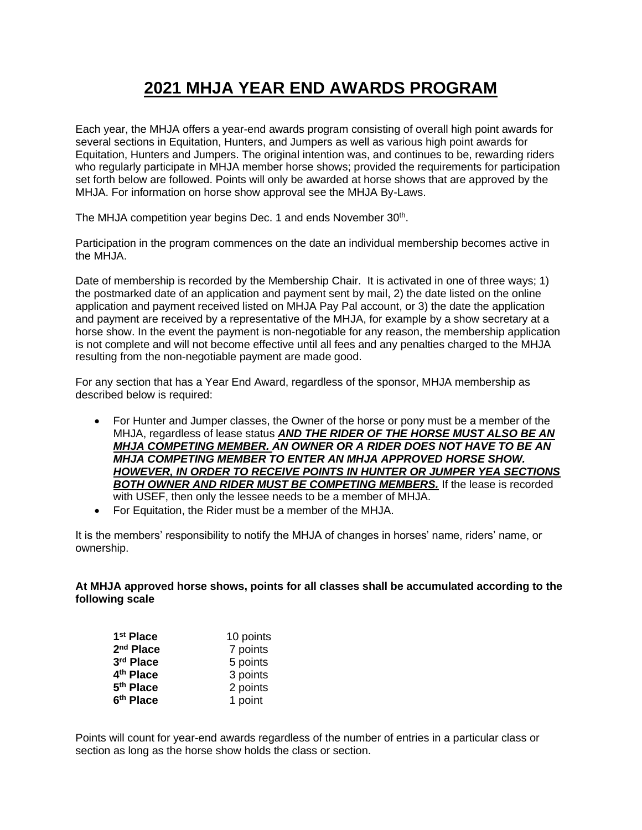## **2021 MHJA YEAR END AWARDS PROGRAM**

Each year, the MHJA offers a year-end awards program consisting of overall high point awards for several sections in Equitation, Hunters, and Jumpers as well as various high point awards for Equitation, Hunters and Jumpers. The original intention was, and continues to be, rewarding riders who regularly participate in MHJA member horse shows; provided the requirements for participation set forth below are followed. Points will only be awarded at horse shows that are approved by the MHJA. For information on horse show approval see the MHJA By-Laws.

The MHJA competition year begins Dec. 1 and ends November 30<sup>th</sup>.

Participation in the program commences on the date an individual membership becomes active in the MH.IA

Date of membership is recorded by the Membership Chair. It is activated in one of three ways; 1) the postmarked date of an application and payment sent by mail, 2) the date listed on the online application and payment received listed on MHJA Pay Pal account, or 3) the date the application and payment are received by a representative of the MHJA, for example by a show secretary at a horse show. In the event the payment is non-negotiable for any reason, the membership application is not complete and will not become effective until all fees and any penalties charged to the MHJA resulting from the non-negotiable payment are made good.

For any section that has a Year End Award, regardless of the sponsor, MHJA membership as described below is required:

- For Hunter and Jumper classes, the Owner of the horse or pony must be a member of the MHJA, regardless of lease status *AND THE RIDER OF THE HORSE MUST ALSO BE AN MHJA COMPETING MEMBER. AN OWNER OR A RIDER DOES NOT HAVE TO BE AN MHJA COMPETING MEMBER TO ENTER AN MHJA APPROVED HORSE SHOW. HOWEVER, IN ORDER TO RECEIVE POINTS IN HUNTER OR JUMPER YEA SECTIONS BOTH OWNER AND RIDER MUST BE COMPETING MEMBERS.* If the lease is recorded with USEF, then only the lessee needs to be a member of MHJA.
- For Equitation, the Rider must be a member of the MHJA.

It is the members' responsibility to notify the MHJA of changes in horses' name, riders' name, or ownership.

**At MHJA approved horse shows, points for all classes shall be accumulated according to the following scale**

| 1 <sup>st</sup> Place | 10 points |  |
|-----------------------|-----------|--|
| 2 <sup>nd</sup> Place | 7 points  |  |
| 3rd Place             | 5 points  |  |
| 4 <sup>th</sup> Place | 3 points  |  |
| 5 <sup>th</sup> Place | 2 points  |  |
| 6th Place             | 1 point   |  |

Points will count for year-end awards regardless of the number of entries in a particular class or section as long as the horse show holds the class or section.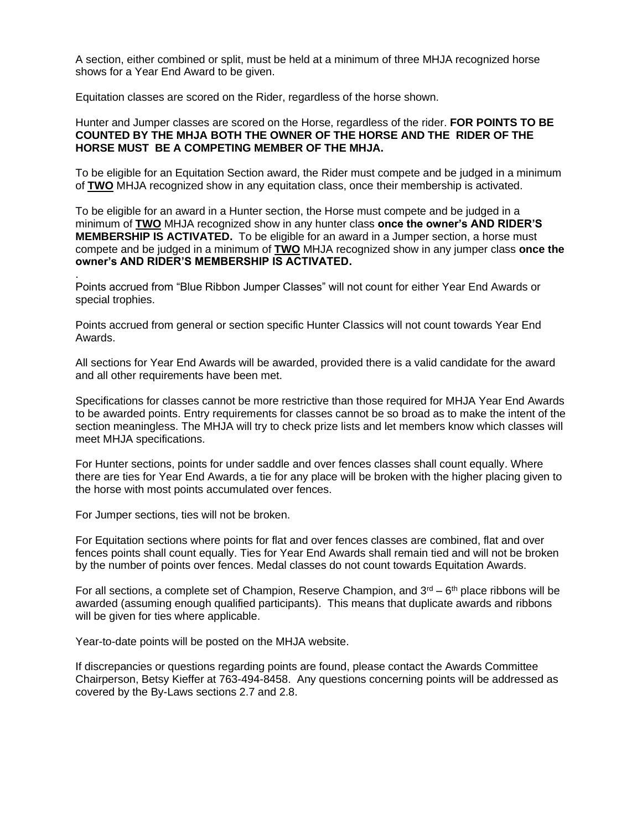A section, either combined or split, must be held at a minimum of three MHJA recognized horse shows for a Year End Award to be given.

Equitation classes are scored on the Rider, regardless of the horse shown.

## Hunter and Jumper classes are scored on the Horse, regardless of the rider. **FOR POINTS TO BE COUNTED BY THE MHJA BOTH THE OWNER OF THE HORSE AND THE RIDER OF THE HORSE MUST BE A COMPETING MEMBER OF THE MHJA.**

To be eligible for an Equitation Section award, the Rider must compete and be judged in a minimum of **TWO** MHJA recognized show in any equitation class, once their membership is activated.

To be eligible for an award in a Hunter section, the Horse must compete and be judged in a minimum of **TWO** MHJA recognized show in any hunter class **once the owner's AND RIDER'S MEMBERSHIP IS ACTIVATED.** To be eligible for an award in a Jumper section, a horse must compete and be judged in a minimum of **TWO** MHJA recognized show in any jumper class **once the owner's AND RIDER'S MEMBERSHIP IS ACTIVATED.**

Points accrued from "Blue Ribbon Jumper Classes" will not count for either Year End Awards or special trophies.

Points accrued from general or section specific Hunter Classics will not count towards Year End Awards.

All sections for Year End Awards will be awarded, provided there is a valid candidate for the award and all other requirements have been met.

Specifications for classes cannot be more restrictive than those required for MHJA Year End Awards to be awarded points. Entry requirements for classes cannot be so broad as to make the intent of the section meaningless. The MHJA will try to check prize lists and let members know which classes will meet MHJA specifications.

For Hunter sections, points for under saddle and over fences classes shall count equally. Where there are ties for Year End Awards, a tie for any place will be broken with the higher placing given to the horse with most points accumulated over fences.

For Jumper sections, ties will not be broken.

.

For Equitation sections where points for flat and over fences classes are combined, flat and over fences points shall count equally. Ties for Year End Awards shall remain tied and will not be broken by the number of points over fences. Medal classes do not count towards Equitation Awards.

For all sections, a complete set of Champion, Reserve Champion, and  $3<sup>rd</sup> - 6<sup>th</sup>$  place ribbons will be awarded (assuming enough qualified participants). This means that duplicate awards and ribbons will be given for ties where applicable.

Year-to-date points will be posted on the MHJA website.

If discrepancies or questions regarding points are found, please contact the Awards Committee Chairperson, Betsy Kieffer at 763-494-8458. Any questions concerning points will be addressed as covered by the By-Laws sections 2.7 and 2.8.